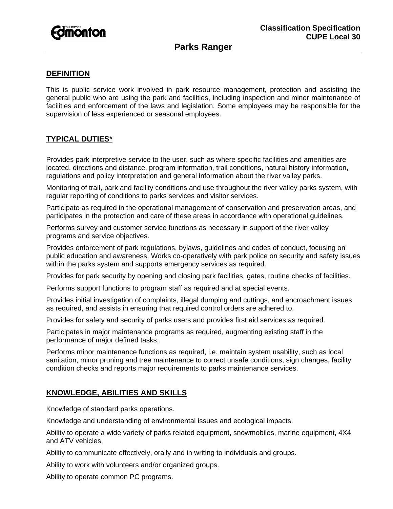

# **Parks Ranger**

#### **DEFINITION**

This is public service work involved in park resource management, protection and assisting the general public who are using the park and facilities, including inspection and minor maintenance of facilities and enforcement of the laws and legislation. Some employees may be responsible for the supervision of less experienced or seasonal employees.

### **TYPICAL DUTIES**\*

Provides park interpretive service to the user, such as where specific facilities and amenities are located, directions and distance, program information, trail conditions, natural history information, regulations and policy interpretation and general information about the river valley parks.

Monitoring of trail, park and facility conditions and use throughout the river valley parks system, with regular reporting of conditions to parks services and visitor services.

Participate as required in the operational management of conservation and preservation areas, and participates in the protection and care of these areas in accordance with operational guidelines.

Performs survey and customer service functions as necessary in support of the river valley programs and service objectives.

Provides enforcement of park regulations, bylaws, guidelines and codes of conduct, focusing on public education and awareness. Works co-operatively with park police on security and safety issues within the parks system and supports emergency services as required.

Provides for park security by opening and closing park facilities, gates, routine checks of facilities.

Performs support functions to program staff as required and at special events.

Provides initial investigation of complaints, illegal dumping and cuttings, and encroachment issues as required, and assists in ensuring that required control orders are adhered to.

Provides for safety and security of parks users and provides first aid services as required.

Participates in major maintenance programs as required, augmenting existing staff in the performance of major defined tasks.

Performs minor maintenance functions as required, i.e. maintain system usability, such as local sanitation, minor pruning and tree maintenance to correct unsafe conditions, sign changes, facility condition checks and reports major requirements to parks maintenance services.

### **KNOWLEDGE, ABILITIES AND SKILLS**

Knowledge of standard parks operations.

Knowledge and understanding of environmental issues and ecological impacts.

Ability to operate a wide variety of parks related equipment, snowmobiles, marine equipment, 4X4 and ATV vehicles.

Ability to communicate effectively, orally and in writing to individuals and groups.

Ability to work with volunteers and/or organized groups.

Ability to operate common PC programs.